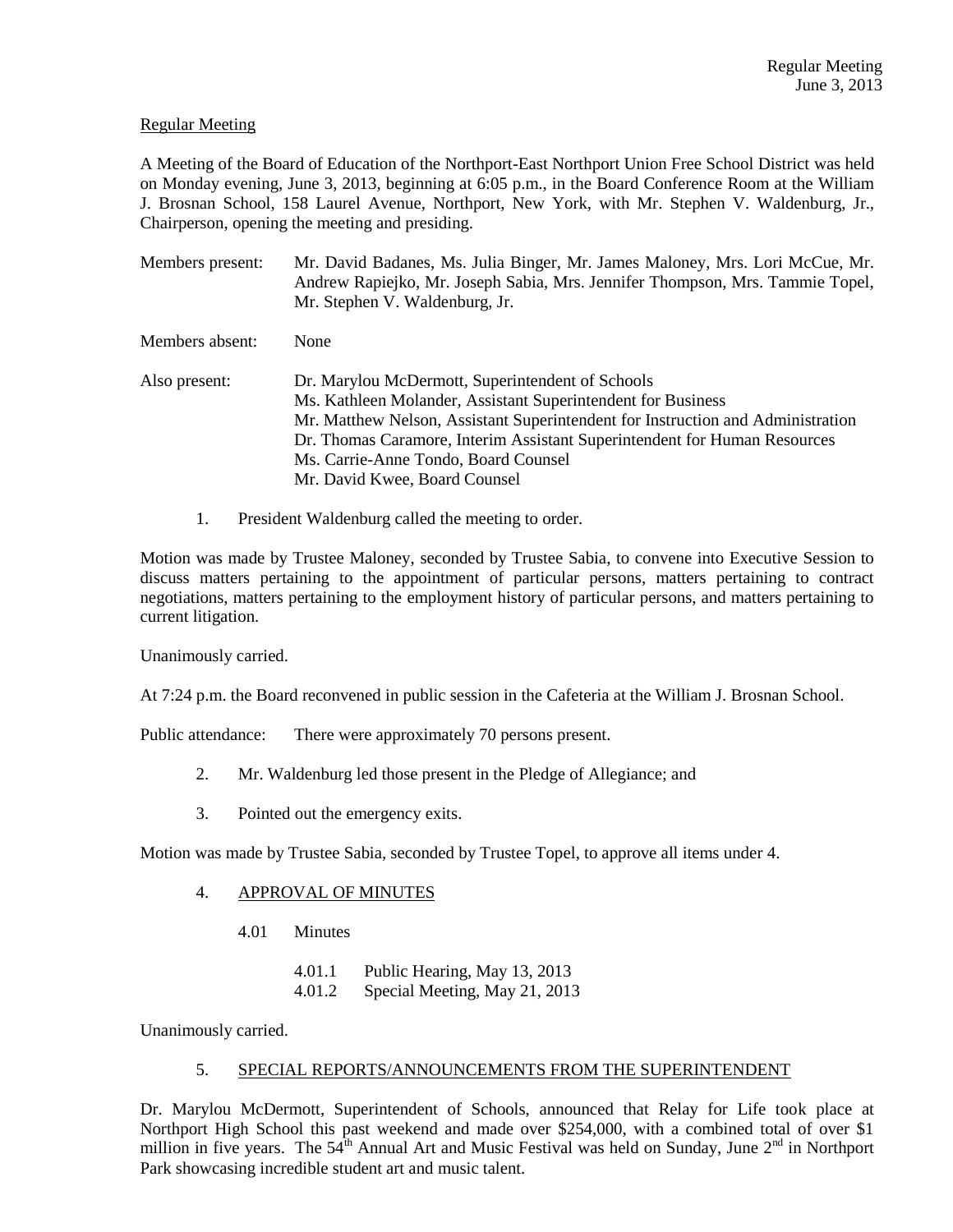# Regular Meeting

A Meeting of the Board of Education of the Northport-East Northport Union Free School District was held on Monday evening, June 3, 2013, beginning at 6:05 p.m., in the Board Conference Room at the William J. Brosnan School, 158 Laurel Avenue, Northport, New York, with Mr. Stephen V. Waldenburg, Jr., Chairperson, opening the meeting and presiding.

Members present: Mr. David Badanes, Ms. Julia Binger, Mr. James Maloney, Mrs. Lori McCue, Mr. Andrew Rapiejko, Mr. Joseph Sabia, Mrs. Jennifer Thompson, Mrs. Tammie Topel, Mr. Stephen V. Waldenburg, Jr.

Members absent: None

- Also present: Dr. Marylou McDermott, Superintendent of Schools Ms. Kathleen Molander, Assistant Superintendent for Business Mr. Matthew Nelson, Assistant Superintendent for Instruction and Administration Dr. Thomas Caramore, Interim Assistant Superintendent for Human Resources Ms. Carrie-Anne Tondo, Board Counsel Mr. David Kwee, Board Counsel
	- 1. President Waldenburg called the meeting to order.

Motion was made by Trustee Maloney, seconded by Trustee Sabia, to convene into Executive Session to discuss matters pertaining to the appointment of particular persons, matters pertaining to contract negotiations, matters pertaining to the employment history of particular persons, and matters pertaining to current litigation.

Unanimously carried.

At 7:24 p.m. the Board reconvened in public session in the Cafeteria at the William J. Brosnan School.

Public attendance: There were approximately 70 persons present.

- 2. Mr. Waldenburg led those present in the Pledge of Allegiance; and
- 3. Pointed out the emergency exits.

Motion was made by Trustee Sabia, seconded by Trustee Topel, to approve all items under 4.

- 4. APPROVAL OF MINUTES
	- 4.01 Minutes
		- 4.01.1 Public Hearing, May 13, 2013
		- 4.01.2 Special Meeting, May 21, 2013

Unanimously carried.

## 5. SPECIAL REPORTS/ANNOUNCEMENTS FROM THE SUPERINTENDENT

Dr. Marylou McDermott, Superintendent of Schools, announced that Relay for Life took place at Northport High School this past weekend and made over \$254,000, with a combined total of over \$1 million in five years. The  $54<sup>th</sup>$  Annual Art and Music Festival was held on Sunday, June  $2<sup>nd</sup>$  in Northport Park showcasing incredible student art and music talent.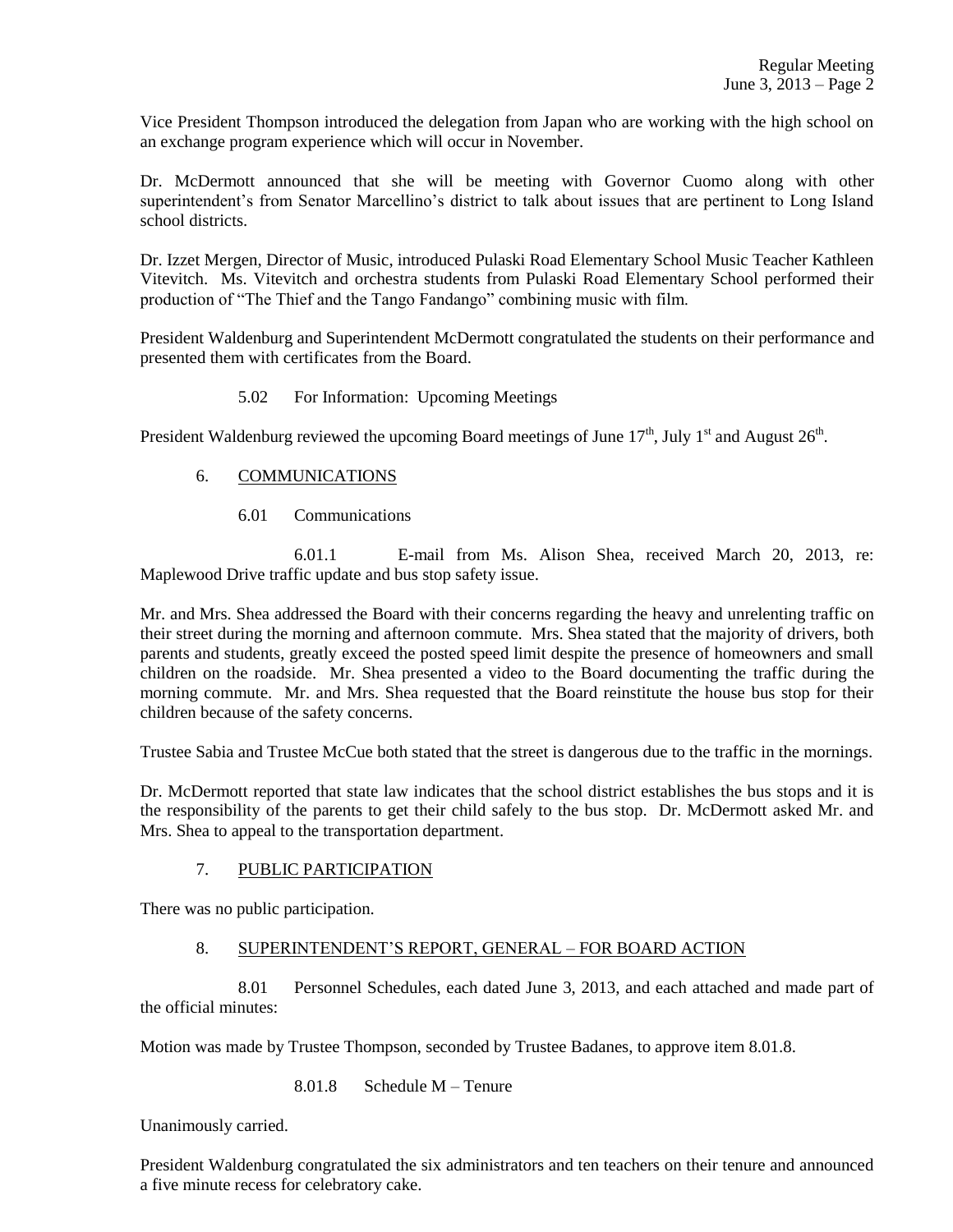Vice President Thompson introduced the delegation from Japan who are working with the high school on an exchange program experience which will occur in November.

Dr. McDermott announced that she will be meeting with Governor Cuomo along with other superintendent's from Senator Marcellino's district to talk about issues that are pertinent to Long Island school districts.

Dr. Izzet Mergen, Director of Music, introduced Pulaski Road Elementary School Music Teacher Kathleen Vitevitch. Ms. Vitevitch and orchestra students from Pulaski Road Elementary School performed their production of "The Thief and the Tango Fandango" combining music with film.

President Waldenburg and Superintendent McDermott congratulated the students on their performance and presented them with certificates from the Board.

## 5.02 For Information: Upcoming Meetings

President Waldenburg reviewed the upcoming Board meetings of June  $17<sup>th</sup>$ , July 1<sup>st</sup> and August 26<sup>th</sup>.

## 6. COMMUNICATIONS

6.01 Communications

6.01.1 E-mail from Ms. Alison Shea, received March 20, 2013, re: Maplewood Drive traffic update and bus stop safety issue.

Mr. and Mrs. Shea addressed the Board with their concerns regarding the heavy and unrelenting traffic on their street during the morning and afternoon commute. Mrs. Shea stated that the majority of drivers, both parents and students, greatly exceed the posted speed limit despite the presence of homeowners and small children on the roadside. Mr. Shea presented a video to the Board documenting the traffic during the morning commute. Mr. and Mrs. Shea requested that the Board reinstitute the house bus stop for their children because of the safety concerns.

Trustee Sabia and Trustee McCue both stated that the street is dangerous due to the traffic in the mornings.

Dr. McDermott reported that state law indicates that the school district establishes the bus stops and it is the responsibility of the parents to get their child safely to the bus stop. Dr. McDermott asked Mr. and Mrs. Shea to appeal to the transportation department.

## 7. PUBLIC PARTICIPATION

There was no public participation.

## 8. SUPERINTENDENT'S REPORT, GENERAL – FOR BOARD ACTION

8.01 Personnel Schedules, each dated June 3, 2013, and each attached and made part of the official minutes:

Motion was made by Trustee Thompson, seconded by Trustee Badanes, to approve item 8.01.8.

## 8.01.8 Schedule M – Tenure

Unanimously carried.

President Waldenburg congratulated the six administrators and ten teachers on their tenure and announced a five minute recess for celebratory cake.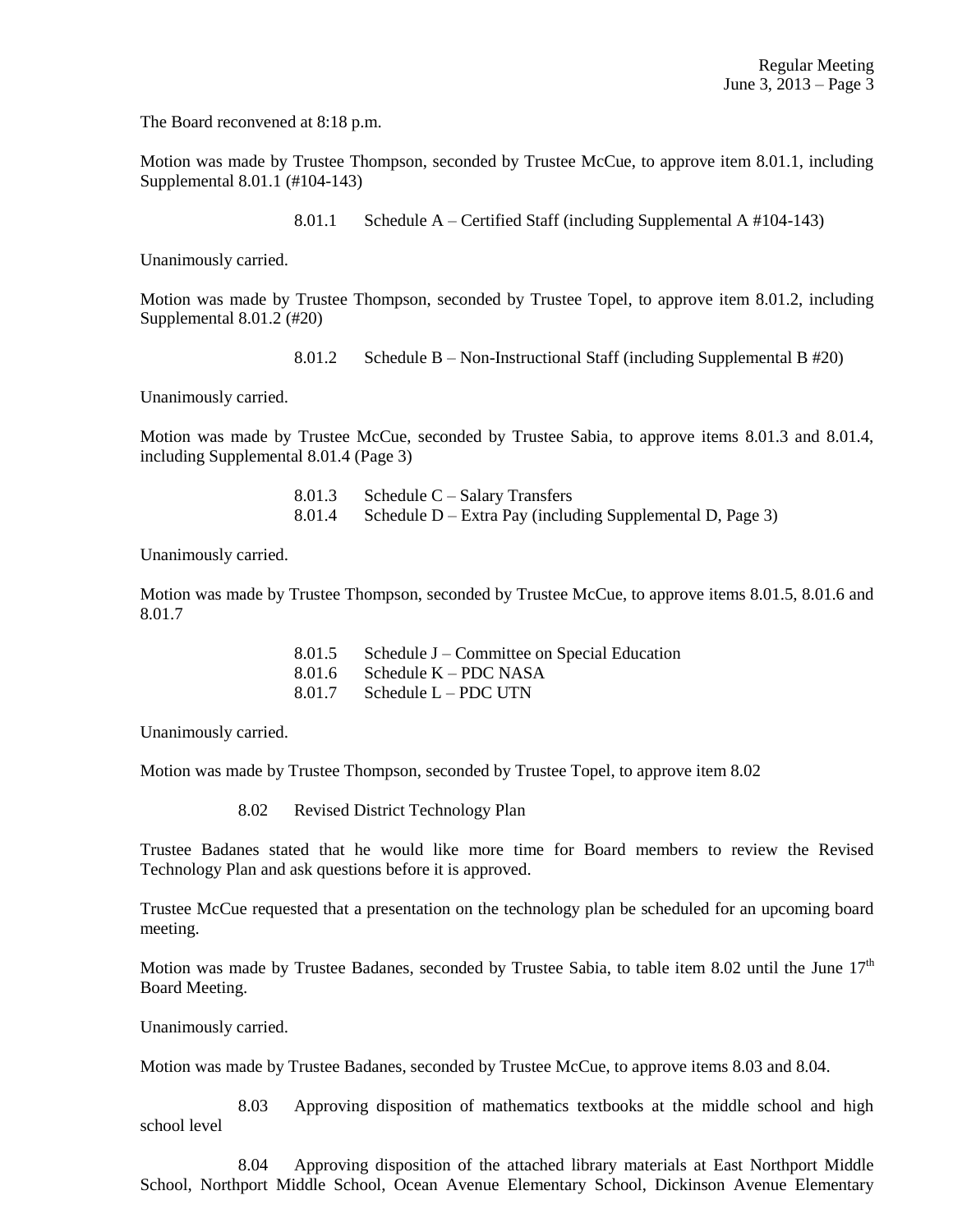The Board reconvened at 8:18 p.m.

Motion was made by Trustee Thompson, seconded by Trustee McCue, to approve item 8.01.1, including Supplemental 8.01.1 (#104-143)

8.01.1 Schedule A – Certified Staff (including Supplemental A #104-143)

Unanimously carried.

Motion was made by Trustee Thompson, seconded by Trustee Topel, to approve item 8.01.2, including Supplemental 8.01.2 (#20)

8.01.2 Schedule B – Non-Instructional Staff (including Supplemental B #20)

Unanimously carried.

Motion was made by Trustee McCue, seconded by Trustee Sabia, to approve items 8.01.3 and 8.01.4, including Supplemental 8.01.4 (Page 3)

8.01.3 Schedule C – Salary Transfers

8.01.4 Schedule D – Extra Pay (including Supplemental D, Page 3)

Unanimously carried.

Motion was made by Trustee Thompson, seconded by Trustee McCue, to approve items 8.01.5, 8.01.6 and 8.01.7

> 8.01.5 Schedule J – Committee on Special Education 8.01.6 Schedule K – PDC NASA 8.01.7 Schedule L – PDC UTN

Unanimously carried.

Motion was made by Trustee Thompson, seconded by Trustee Topel, to approve item 8.02

8.02 Revised District Technology Plan

Trustee Badanes stated that he would like more time for Board members to review the Revised Technology Plan and ask questions before it is approved.

Trustee McCue requested that a presentation on the technology plan be scheduled for an upcoming board meeting.

Motion was made by Trustee Badanes, seconded by Trustee Sabia, to table item 8.02 until the June 17<sup>th</sup> Board Meeting.

Unanimously carried.

Motion was made by Trustee Badanes, seconded by Trustee McCue, to approve items 8.03 and 8.04.

8.03 Approving disposition of mathematics textbooks at the middle school and high school level

8.04 Approving disposition of the attached library materials at East Northport Middle School, Northport Middle School, Ocean Avenue Elementary School, Dickinson Avenue Elementary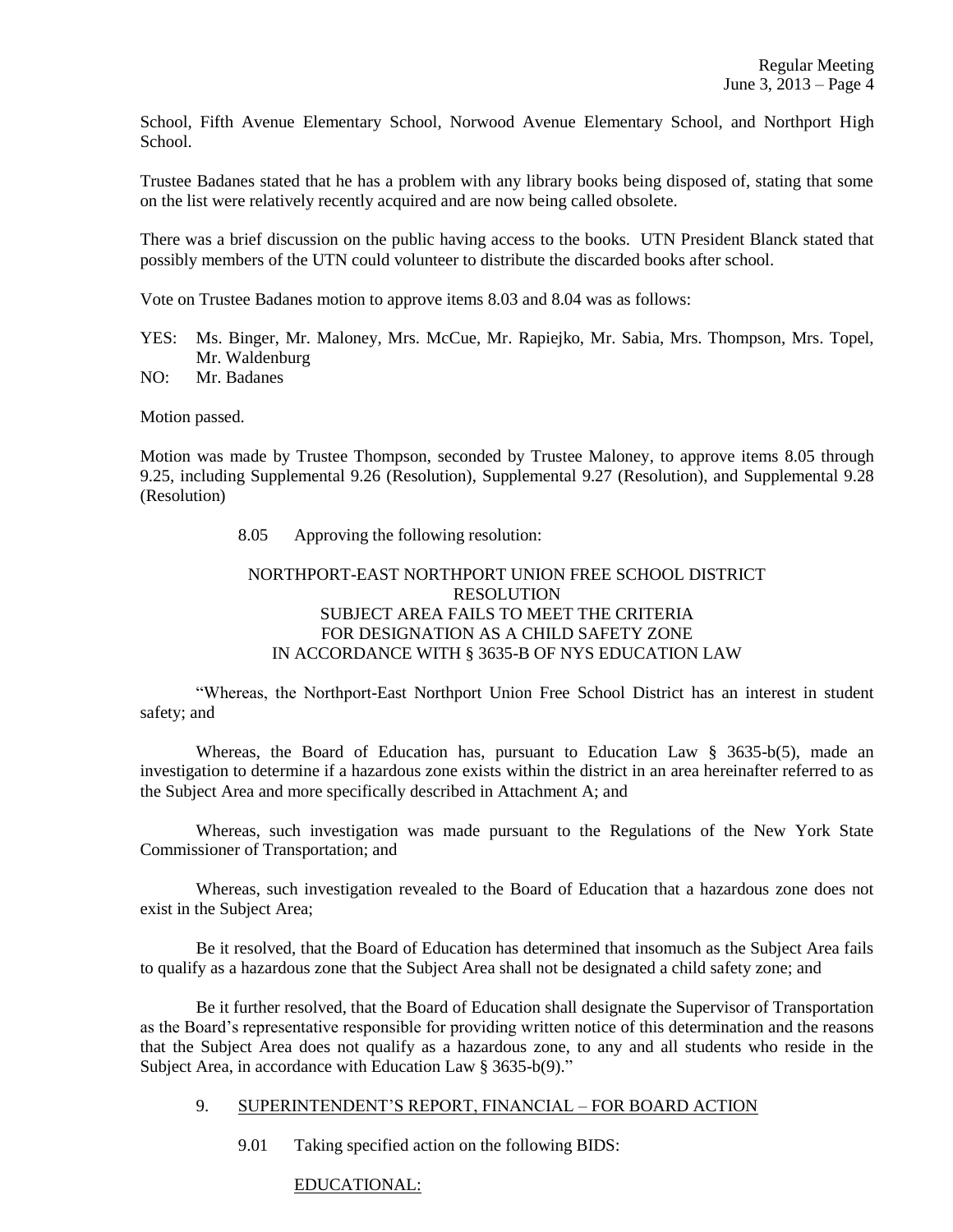School, Fifth Avenue Elementary School, Norwood Avenue Elementary School, and Northport High School.

Trustee Badanes stated that he has a problem with any library books being disposed of, stating that some on the list were relatively recently acquired and are now being called obsolete.

There was a brief discussion on the public having access to the books. UTN President Blanck stated that possibly members of the UTN could volunteer to distribute the discarded books after school.

Vote on Trustee Badanes motion to approve items 8.03 and 8.04 was as follows:

- YES: Ms. Binger, Mr. Maloney, Mrs. McCue, Mr. Rapiejko, Mr. Sabia, Mrs. Thompson, Mrs. Topel, Mr. Waldenburg
- NO: Mr. Badanes

Motion passed.

Motion was made by Trustee Thompson, seconded by Trustee Maloney, to approve items 8.05 through 9.25, including Supplemental 9.26 (Resolution), Supplemental 9.27 (Resolution), and Supplemental 9.28 (Resolution)

8.05 Approving the following resolution:

# NORTHPORT-EAST NORTHPORT UNION FREE SCHOOL DISTRICT RESOLUTION SUBJECT AREA FAILS TO MEET THE CRITERIA FOR DESIGNATION AS A CHILD SAFETY ZONE IN ACCORDANCE WITH § 3635-B OF NYS EDUCATION LAW

"Whereas, the Northport-East Northport Union Free School District has an interest in student safety; and

Whereas, the Board of Education has, pursuant to Education Law § 3635-b(5), made an investigation to determine if a hazardous zone exists within the district in an area hereinafter referred to as the Subject Area and more specifically described in Attachment A; and

Whereas, such investigation was made pursuant to the Regulations of the New York State Commissioner of Transportation; and

Whereas, such investigation revealed to the Board of Education that a hazardous zone does not exist in the Subject Area;

Be it resolved, that the Board of Education has determined that insomuch as the Subject Area fails to qualify as a hazardous zone that the Subject Area shall not be designated a child safety zone; and

Be it further resolved, that the Board of Education shall designate the Supervisor of Transportation as the Board's representative responsible for providing written notice of this determination and the reasons that the Subject Area does not qualify as a hazardous zone, to any and all students who reside in the Subject Area, in accordance with Education Law § 3635-b(9)."

#### 9. SUPERINTENDENT'S REPORT, FINANCIAL – FOR BOARD ACTION

9.01 Taking specified action on the following BIDS:

EDUCATIONAL: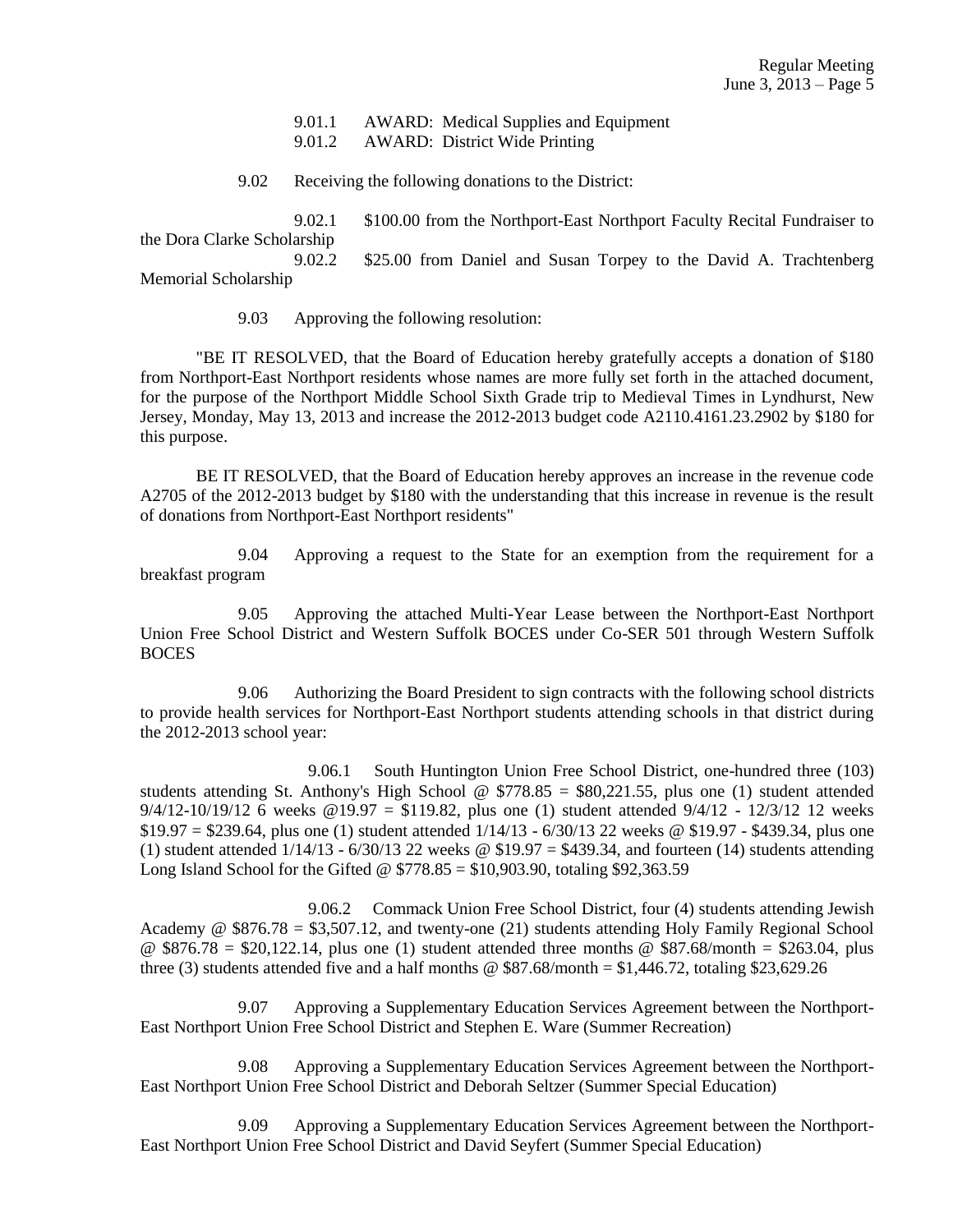9.01.1 AWARD: Medical Supplies and Equipment<br>9.01.2 AWARD: District Wide Printing 9.01.2 AWARD: District Wide Printing

9.02 Receiving the following donations to the District:

9.02.1 \$100.00 from the Northport-East Northport Faculty Recital Fundraiser to the Dora Clarke Scholarship 9.02.2 \$25.00 from Daniel and Susan Torpey to the David A. Trachtenberg

Memorial Scholarship

9.03 Approving the following resolution:

"BE IT RESOLVED, that the Board of Education hereby gratefully accepts a donation of \$180 from Northport-East Northport residents whose names are more fully set forth in the attached document, for the purpose of the Northport Middle School Sixth Grade trip to Medieval Times in Lyndhurst, New Jersey, Monday, May 13, 2013 and increase the 2012-2013 budget code A2110.4161.23.2902 by \$180 for this purpose.

BE IT RESOLVED, that the Board of Education hereby approves an increase in the revenue code A2705 of the 2012-2013 budget by \$180 with the understanding that this increase in revenue is the result of donations from Northport-East Northport residents"

9.04 Approving a request to the State for an exemption from the requirement for a breakfast program

9.05 Approving the attached Multi-Year Lease between the Northport-East Northport Union Free School District and Western Suffolk BOCES under Co-SER 501 through Western Suffolk BOCES

9.06 Authorizing the Board President to sign contracts with the following school districts to provide health services for Northport-East Northport students attending schools in that district during the 2012-2013 school year:

9.06.1 South Huntington Union Free School District, one-hundred three (103) students attending St. Anthony's High School @  $$778.85 = $80,221.55$ , plus one (1) student attended  $9/4/12-10/19/12$  6 weeks  $@19.97 = $119.82$ , plus one (1) student attended  $9/4/12 - 12/3/12$  12 weeks  $$19.97 = $239.64$ , plus one (1) student attended  $1/14/13 - 6/30/13$  22 weeks @ \$19.97 - \$439.34, plus one (1) student attended  $1/14/13 - 6/30/13$  22 weeks @ \$19.97 = \$439.34, and fourteen (14) students attending Long Island School for the Gifted  $\omega$  \$778.85 = \$10,903.90, totaling \$92,363.59

9.06.2 Commack Union Free School District, four (4) students attending Jewish Academy @ \$876.78 = \$3,507.12, and twenty-one (21) students attending Holy Family Regional School  $\textcircled{g}$  \$876.78 = \$20,122.14, plus one (1) student attended three months  $\textcircled{g}$  \$87.68/month = \$263.04, plus three (3) students attended five and a half months  $\omega$  \$87.68/month = \$1,446.72, totaling \$23,629.26

9.07 Approving a Supplementary Education Services Agreement between the Northport-East Northport Union Free School District and Stephen E. Ware (Summer Recreation)

9.08 Approving a Supplementary Education Services Agreement between the Northport-East Northport Union Free School District and Deborah Seltzer (Summer Special Education)

9.09 Approving a Supplementary Education Services Agreement between the Northport-East Northport Union Free School District and David Seyfert (Summer Special Education)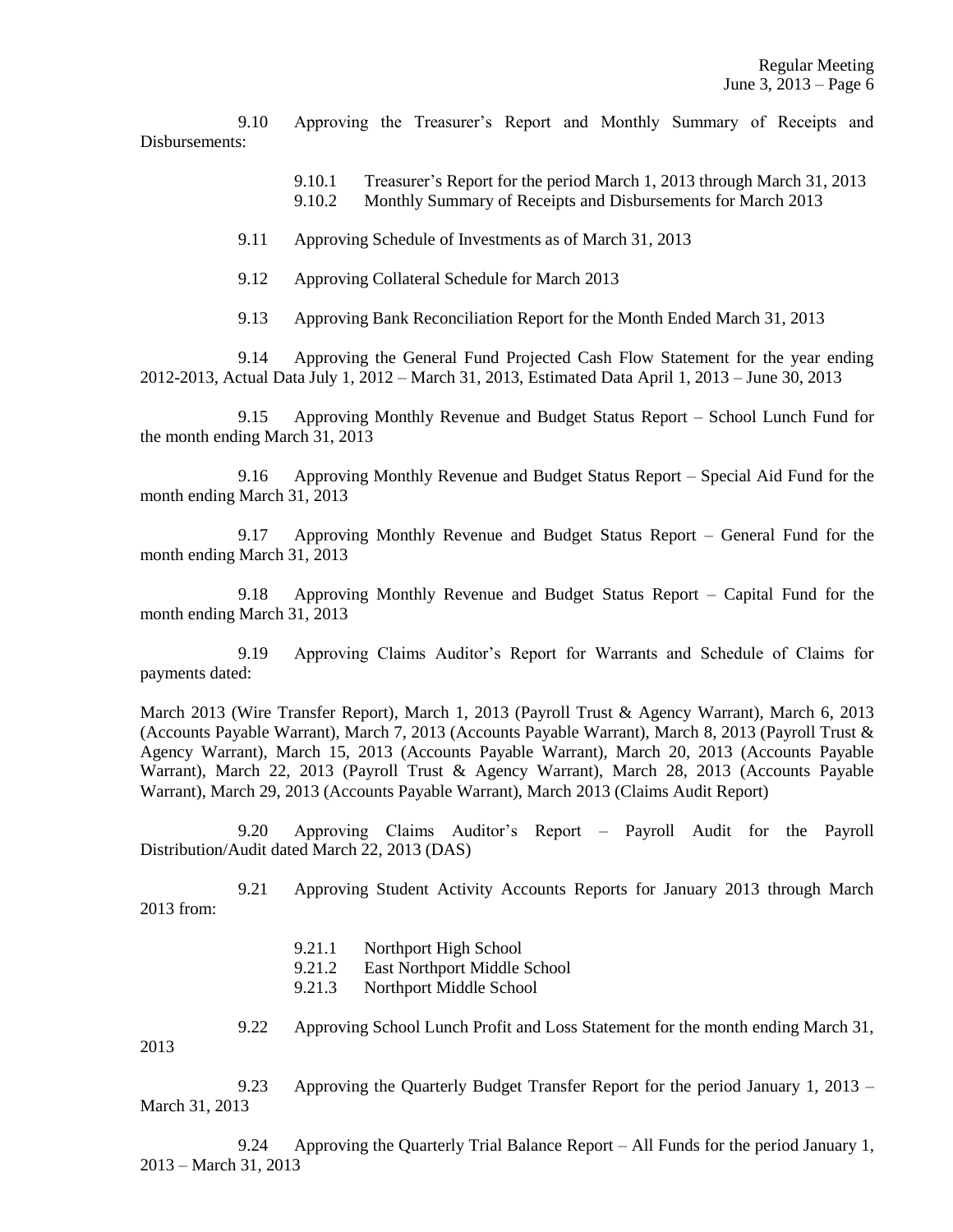9.10 Approving the Treasurer's Report and Monthly Summary of Receipts and Disbursements:

> 9.10.1 Treasurer's Report for the period March 1, 2013 through March 31, 2013 9.10.2 Monthly Summary of Receipts and Disbursements for March 2013

9.11 Approving Schedule of Investments as of March 31, 2013

9.12 Approving Collateral Schedule for March 2013

9.13 Approving Bank Reconciliation Report for the Month Ended March 31, 2013

9.14 Approving the General Fund Projected Cash Flow Statement for the year ending 2012-2013, Actual Data July 1, 2012 – March 31, 2013, Estimated Data April 1, 2013 – June 30, 2013

9.15 Approving Monthly Revenue and Budget Status Report – School Lunch Fund for the month ending March 31, 2013

9.16 Approving Monthly Revenue and Budget Status Report – Special Aid Fund for the month ending March 31, 2013

9.17 Approving Monthly Revenue and Budget Status Report – General Fund for the month ending March 31, 2013

9.18 Approving Monthly Revenue and Budget Status Report – Capital Fund for the month ending March 31, 2013

9.19 Approving Claims Auditor's Report for Warrants and Schedule of Claims for payments dated:

March 2013 (Wire Transfer Report), March 1, 2013 (Payroll Trust & Agency Warrant), March 6, 2013 (Accounts Payable Warrant), March 7, 2013 (Accounts Payable Warrant), March 8, 2013 (Payroll Trust & Agency Warrant), March 15, 2013 (Accounts Payable Warrant), March 20, 2013 (Accounts Payable Warrant), March 22, 2013 (Payroll Trust & Agency Warrant), March 28, 2013 (Accounts Payable Warrant), March 29, 2013 (Accounts Payable Warrant), March 2013 (Claims Audit Report)

9.20 Approving Claims Auditor's Report – Payroll Audit for the Payroll Distribution/Audit dated March 22, 2013 (DAS)

9.21 Approving Student Activity Accounts Reports for January 2013 through March 2013 from:

- 9.21.1 Northport High School
- 9.21.2 East Northport Middle School
- 9.21.3 Northport Middle School

9.22 Approving School Lunch Profit and Loss Statement for the month ending March 31, 2013

9.23 Approving the Quarterly Budget Transfer Report for the period January 1, 2013 – March 31, 2013

9.24 Approving the Quarterly Trial Balance Report – All Funds for the period January 1, 2013 – March 31, 2013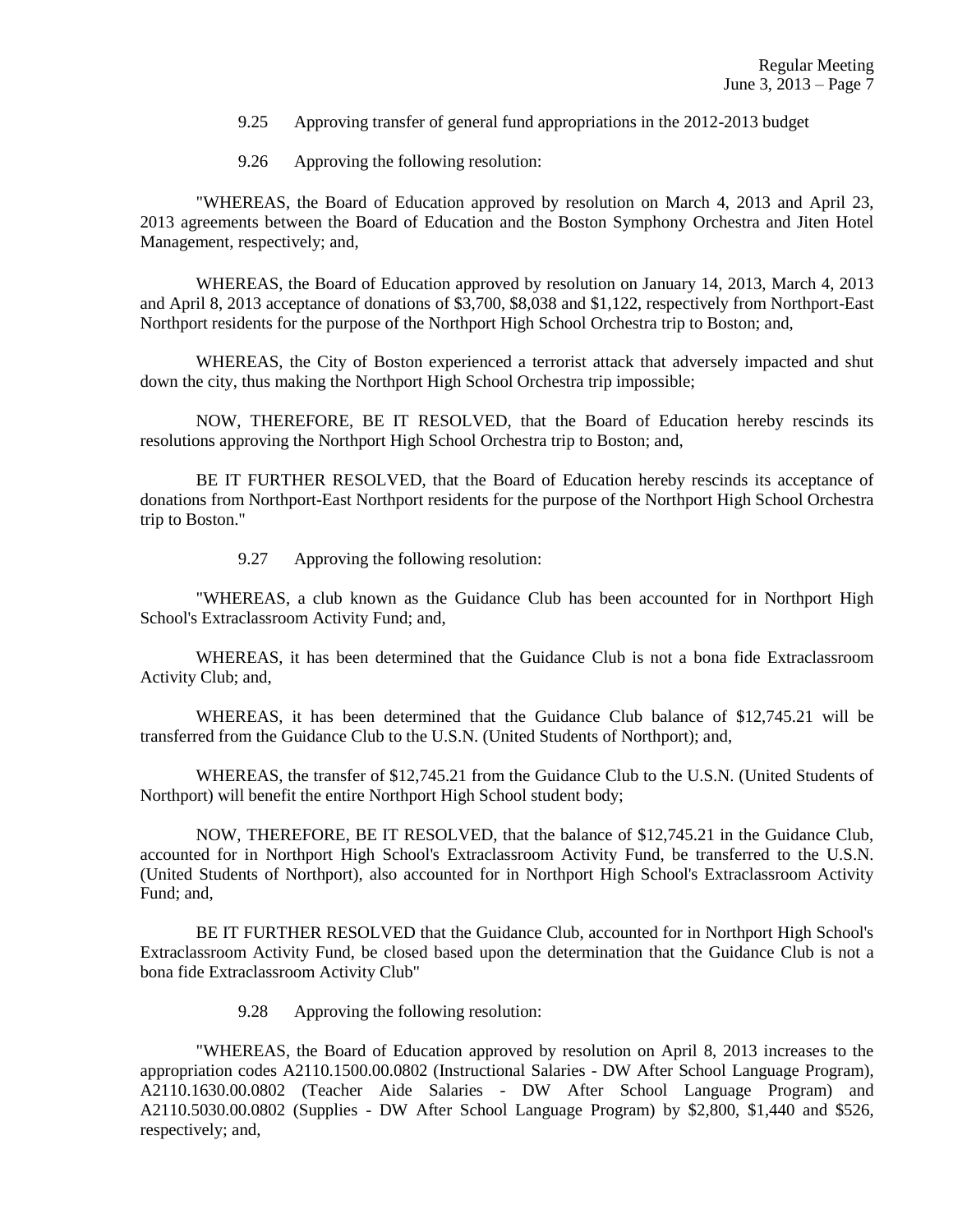- 9.25 Approving transfer of general fund appropriations in the 2012-2013 budget
- 9.26 Approving the following resolution:

"WHEREAS, the Board of Education approved by resolution on March 4, 2013 and April 23, 2013 agreements between the Board of Education and the Boston Symphony Orchestra and Jiten Hotel Management, respectively; and,

WHEREAS, the Board of Education approved by resolution on January 14, 2013, March 4, 2013 and April 8, 2013 acceptance of donations of \$3,700, \$8,038 and \$1,122, respectively from Northport-East Northport residents for the purpose of the Northport High School Orchestra trip to Boston; and,

WHEREAS, the City of Boston experienced a terrorist attack that adversely impacted and shut down the city, thus making the Northport High School Orchestra trip impossible;

NOW, THEREFORE, BE IT RESOLVED, that the Board of Education hereby rescinds its resolutions approving the Northport High School Orchestra trip to Boston; and,

BE IT FURTHER RESOLVED, that the Board of Education hereby rescinds its acceptance of donations from Northport-East Northport residents for the purpose of the Northport High School Orchestra trip to Boston."

9.27 Approving the following resolution:

"WHEREAS, a club known as the Guidance Club has been accounted for in Northport High School's Extraclassroom Activity Fund; and,

WHEREAS, it has been determined that the Guidance Club is not a bona fide Extraclassroom Activity Club; and,

WHEREAS, it has been determined that the Guidance Club balance of \$12,745.21 will be transferred from the Guidance Club to the U.S.N. (United Students of Northport); and,

WHEREAS, the transfer of \$12,745.21 from the Guidance Club to the U.S.N. (United Students of Northport) will benefit the entire Northport High School student body;

NOW, THEREFORE, BE IT RESOLVED, that the balance of \$12,745.21 in the Guidance Club, accounted for in Northport High School's Extraclassroom Activity Fund, be transferred to the U.S.N. (United Students of Northport), also accounted for in Northport High School's Extraclassroom Activity Fund; and,

BE IT FURTHER RESOLVED that the Guidance Club, accounted for in Northport High School's Extraclassroom Activity Fund, be closed based upon the determination that the Guidance Club is not a bona fide Extraclassroom Activity Club"

9.28 Approving the following resolution:

"WHEREAS, the Board of Education approved by resolution on April 8, 2013 increases to the appropriation codes A2110.1500.00.0802 (Instructional Salaries - DW After School Language Program), A2110.1630.00.0802 (Teacher Aide Salaries - DW After School Language Program) and A2110.5030.00.0802 (Supplies - DW After School Language Program) by \$2,800, \$1,440 and \$526, respectively; and,